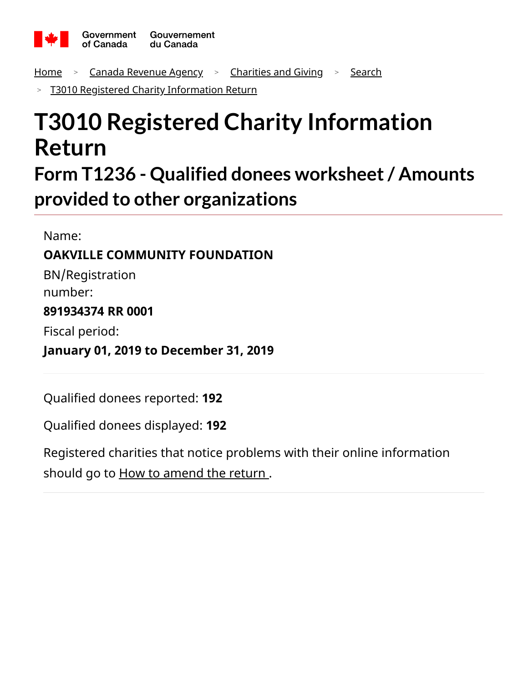

<u>[Home](https://apps.cra-arc.gc.ca/ebci/hacc/srch/pub/rdrctToLnk?linkKey=breadcrumbHome)  $\rightarrow$  [Canada Revenue Agency](https://apps.cra-arc.gc.ca/ebci/hacc/srch/pub/rdrctToLnk?linkKey=breadcrumbCRA)  $\rightarrow$  [Charities and Giving](https://apps.cra-arc.gc.ca/ebci/hacc/srch/pub/rdrctToLnk?linkKey=breadcrumbCharities)  $\rightarrow$  [Search](https://apps.cra-arc.gc.ca/ebci/hacc/srch/pub/rdrctToLnk?linkKey=breadcrumbSearch)</u>

[T3010 Registered Charity Information Return](https://apps.cra-arc.gc.ca/ebci/hacc/srch/pub/t3010/v24/t3010ovrvw) >

# **T3010 Registered Charity Information Return**

**Form T1236 - Qualified donees worksheet/ Amounts provided to other organizations**

Name:

## **OAKVILLE COMMUNITY FOUNDATION**

BN/Registration number:

#### **891934374 RR 0001**

Fiscal period:

**January 01, 2019 to December 31, 2019**

Qualified donees reported: **192**

Qualified donees displayed: **192**

Registered charities that notice problems with their online information should go to **How to amend the return**.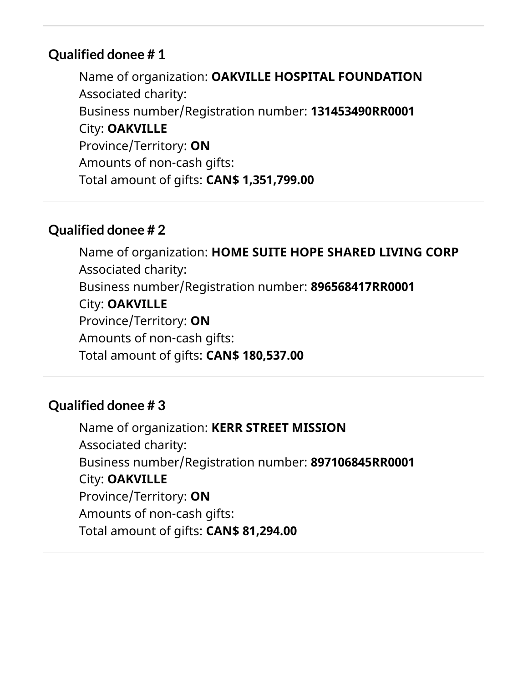Name of organization: **OAKVILLE HOSPITAL FOUNDATION** Associated charity: Business number/Registration number: **131453490RR0001** City: **OAKVILLE** Province/Territory: **ON** Amounts of non-cash gifts: Total amount of gifts: **CAN\$ 1,351,799.00**

## **Qualified donee # 2**

Name of organization: **HOME SUITE HOPE SHARED LIVING CORP** Associated charity: Business number/Registration number: **896568417RR0001** City: **OAKVILLE** Province/Territory: **ON** Amounts of non-cash gifts: Total amount of gifts: **CAN\$ 180,537.00**

## **Qualified donee # 3**

Name of organization: **KERR STREET MISSION** Associated charity: Business number/Registration number: **897106845RR0001** City: **OAKVILLE** Province/Territory: **ON** Amounts of non-cash gifts: Total amount of gifts: **CAN\$ 81,294.00**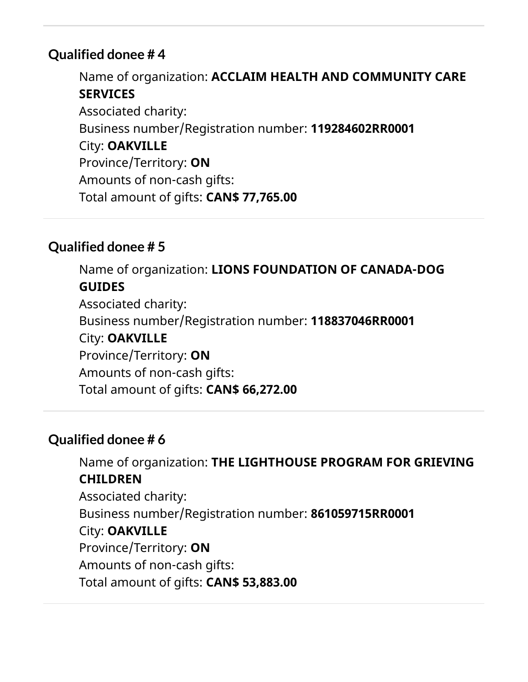Name of organization: **ACCLAIM HEALTH AND COMMUNITY CARE SERVICES** Associated charity: Business number/Registration number: **119284602RR0001** City: **OAKVILLE** Province/Territory: **ON** Amounts of non-cash gifts: Total amount of gifts: **CAN\$ 77,765.00**

## **Qualified donee # 5**

Name of organization: **LIONS FOUNDATION OF CANADA-DOG GUIDES** Associated charity: Business number/Registration number: **118837046RR0001** City: **OAKVILLE** Province/Territory: **ON** Amounts of non-cash gifts: Total amount of gifts: **CAN\$ 66,272.00**

## **Qualified donee # 6**

Name of organization: **THE LIGHTHOUSE PROGRAM FOR GRIEVING CHILDREN** Associated charity: Business number/Registration number: **861059715RR0001** City: **OAKVILLE** Province/Territory: **ON** Amounts of non-cash gifts: Total amount of gifts: **CAN\$ 53,883.00**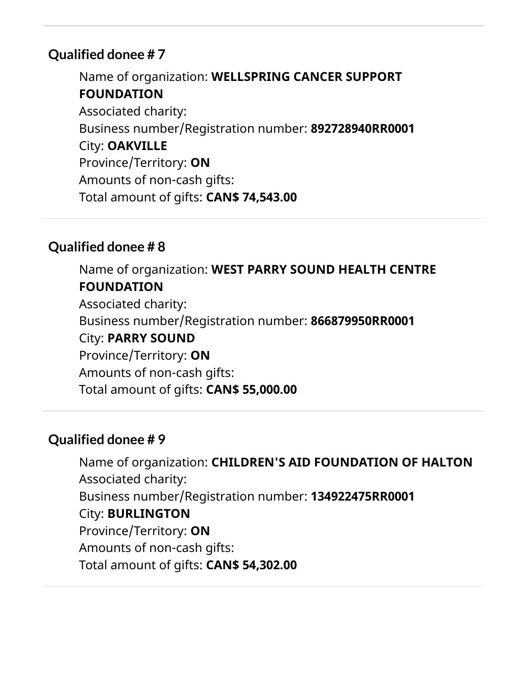Name of organization: **WELLSPRING CANCER SUPPORT FOUNDATION** Associated charity: Business number/Registration number: **892728940RR0001** City: **OAKVILLE** Province/Territory: **ON** Amounts of non-cash gifts: Total amount of gifts: **CAN\$ 74,543.00**

## **Qualified donee # 8**

Name of organization: **WEST PARRY SOUND HEALTH CENTRE FOUNDATION** Associated charity: Business number/Registration number: **866879950RR0001** City: **PARRY SOUND** Province/Territory: **ON** Amounts of non-cash gifts: Total amount of gifts: **CAN\$ 55,000.00**

## **Qualified donee # 9**

Name of organization: **CHILDREN'S AID FOUNDATION OF HALTON** Associated charity: Business number/Registration number: **134922475RR0001** City: **BURLINGTON** Province/Territory: **ON** Amounts of non-cash gifts: Total amount of gifts: **CAN\$ 54,302.00**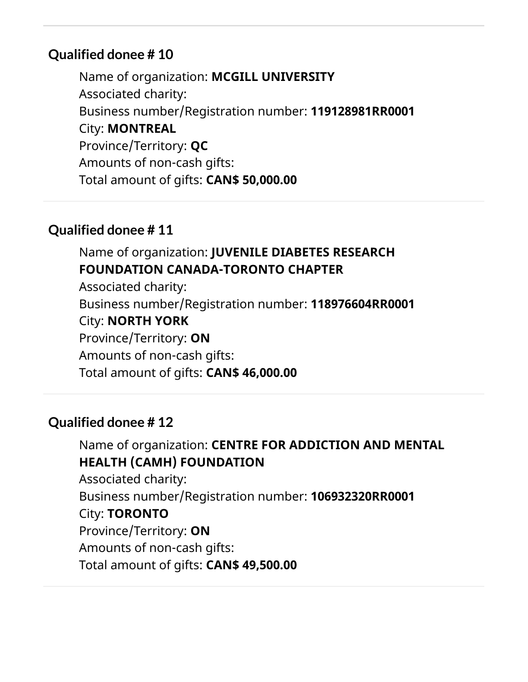Name of organization: **MCGILL UNIVERSITY** Associated charity: Business number/Registration number: **119128981RR0001** City: **MONTREAL** Province/Territory: **QC** Amounts of non-cash gifts: Total amount of gifts: **CAN\$ 50,000.00**

## **Qualified donee # 11**

## Name of organization: **JUVENILE DIABETES RESEARCH FOUNDATION CANADA-TORONTO CHAPTER**

Associated charity: Business number/Registration number: **118976604RR0001** City: **NORTH YORK** Province/Territory: **ON** Amounts of non-cash gifts: Total amount of gifts: **CAN\$ 46,000.00**

## **Qualified donee # 12**

Name of organization: **CENTRE FOR ADDICTION AND MENTAL HEALTH (CAMH) FOUNDATION** Associated charity: Business number/Registration number: **106932320RR0001** City: **TORONTO** Province/Territory: **ON** Amounts of non-cash gifts: Total amount of gifts: **CAN\$ 49,500.00**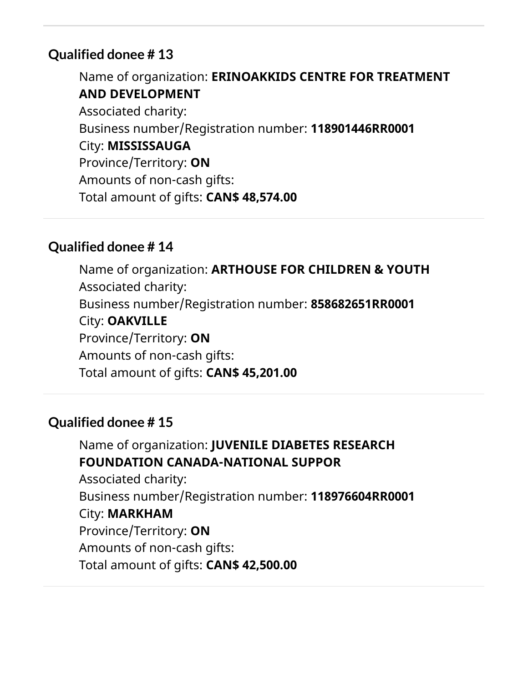Name of organization: **ERINOAKKIDS CENTRE FOR TREATMENT AND DEVELOPMENT** Associated charity: Business number/Registration number: **118901446RR0001** City: **MISSISSAUGA** Province/Territory: **ON** Amounts of non-cash gifts: Total amount of gifts: **CAN\$ 48,574.00**

## **Qualified donee # 14**

Name of organization: **ARTHOUSE FOR CHILDREN & YOUTH** Associated charity: Business number/Registration number: **858682651RR0001** City: **OAKVILLE** Province/Territory: **ON** Amounts of non-cash gifts: Total amount of gifts: **CAN\$ 45,201.00**

## **Qualified donee # 15**

Name of organization: **JUVENILE DIABETES RESEARCH FOUNDATION CANADA-NATIONAL SUPPOR** Associated charity: Business number/Registration number: **118976604RR0001** City: **MARKHAM** Province/Territory: **ON** Amounts of non-cash gifts: Total amount of gifts: **CAN\$ 42,500.00**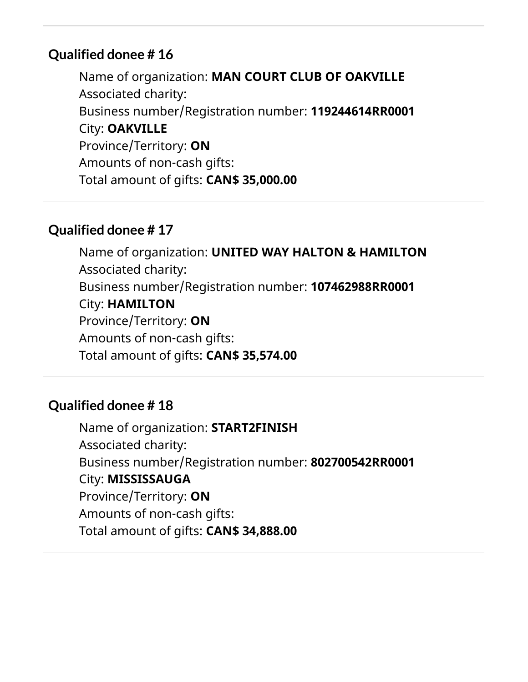Name of organization: **MAN COURT CLUB OF OAKVILLE** Associated charity: Business number/Registration number: **119244614RR0001** City: **OAKVILLE** Province/Territory: **ON** Amounts of non-cash gifts: Total amount of gifts: **CAN\$ 35,000.00**

## **Qualified donee # 17**

Name of organization: **UNITED WAY HALTON & HAMILTON** Associated charity: Business number/Registration number: **107462988RR0001** City: **HAMILTON** Province/Territory: **ON** Amounts of non-cash gifts: Total amount of gifts: **CAN\$ 35,574.00**

## **Qualified donee # 18**

Name of organization: **START2FINISH** Associated charity: Business number/Registration number: **802700542RR0001** City: **MISSISSAUGA** Province/Territory: **ON** Amounts of non-cash gifts: Total amount of gifts: **CAN\$ 34,888.00**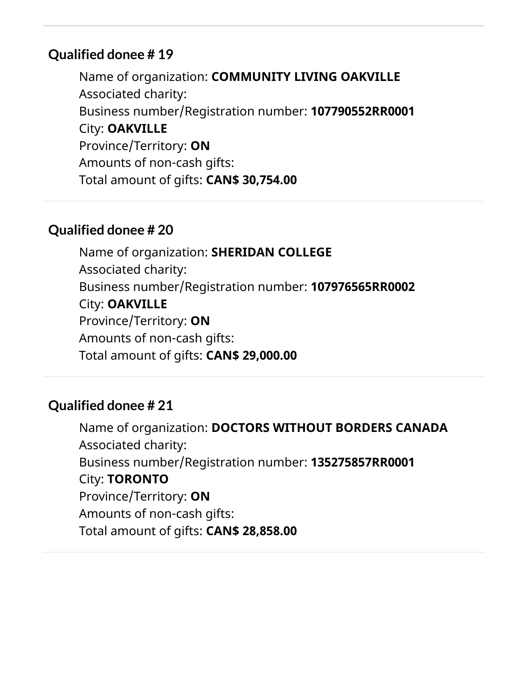Name of organization: **COMMUNITY LIVING OAKVILLE** Associated charity: Business number/Registration number: **107790552RR0001** City: **OAKVILLE** Province/Territory: **ON** Amounts of non-cash gifts: Total amount of gifts: **CAN\$ 30,754.00**

## **Qualified donee # 20**

Name of organization: **SHERIDAN COLLEGE** Associated charity: Business number/Registration number: **107976565RR0002** City: **OAKVILLE** Province/Territory: **ON** Amounts of non-cash gifts: Total amount of gifts: **CAN\$ 29,000.00**

## **Qualified donee # 21**

Name of organization: **DOCTORS WITHOUT BORDERS CANADA** Associated charity: Business number/Registration number: **135275857RR0001** City: **TORONTO** Province/Territory: **ON** Amounts of non-cash gifts: Total amount of gifts: **CAN\$ 28,858.00**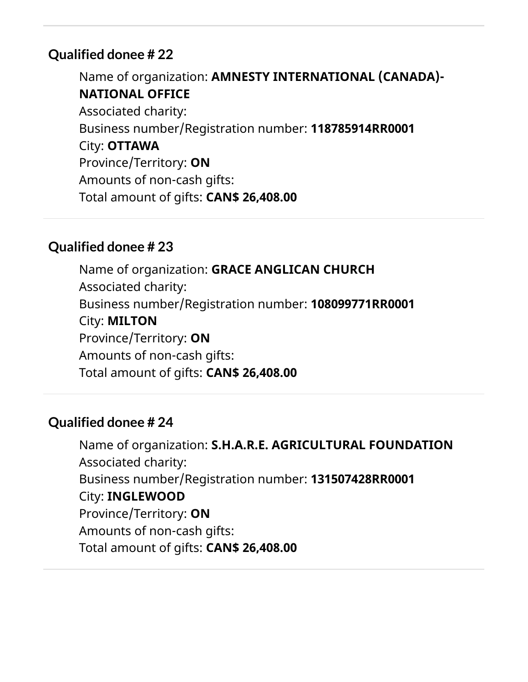Name of organization: **AMNESTY INTERNATIONAL (CANADA)- NATIONAL OFFICE** Associated charity: Business number/Registration number: **118785914RR0001** City: **OTTAWA** Province/Territory: **ON** Amounts of non-cash gifts: Total amount of gifts: **CAN\$ 26,408.00**

## **Qualified donee # 23**

Name of organization: **GRACE ANGLICAN CHURCH** Associated charity: Business number/Registration number: **108099771RR0001** City: **MILTON** Province/Territory: **ON** Amounts of non-cash gifts: Total amount of gifts: **CAN\$ 26,408.00**

## **Qualified donee # 24**

Name of organization: **S.H.A.R.E. AGRICULTURAL FOUNDATION** Associated charity: Business number/Registration number: **131507428RR0001** City: **INGLEWOOD** Province/Territory: **ON** Amounts of non-cash gifts: Total amount of gifts: **CAN\$ 26,408.00**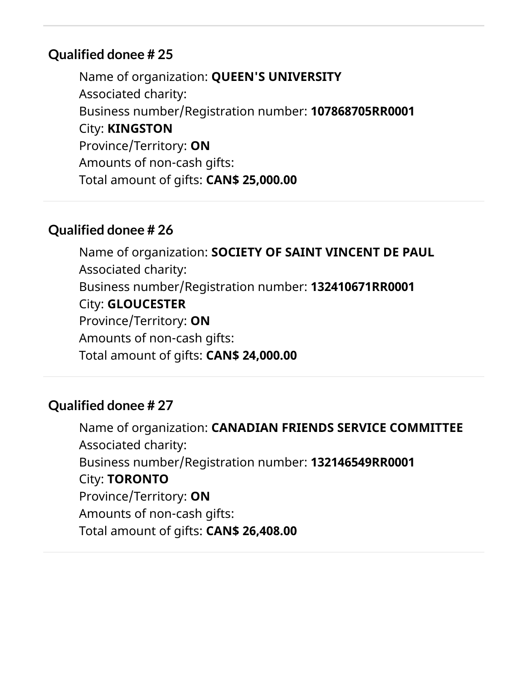Name of organization: **QUEEN'S UNIVERSITY** Associated charity: Business number/Registration number: **107868705RR0001** City: **KINGSTON** Province/Territory: **ON** Amounts of non-cash gifts: Total amount of gifts: **CAN\$ 25,000.00**

## **Qualified donee # 26**

Name of organization: **SOCIETY OF SAINT VINCENT DE PAUL** Associated charity: Business number/Registration number: **132410671RR0001** City: **GLOUCESTER** Province/Territory: **ON** Amounts of non-cash gifts: Total amount of gifts: **CAN\$ 24,000.00**

## **Qualified donee # 27**

Name of organization: **CANADIAN FRIENDS SERVICE COMMITTEE** Associated charity: Business number/Registration number: **132146549RR0001** City: **TORONTO** Province/Territory: **ON** Amounts of non-cash gifts: Total amount of gifts: **CAN\$ 26,408.00**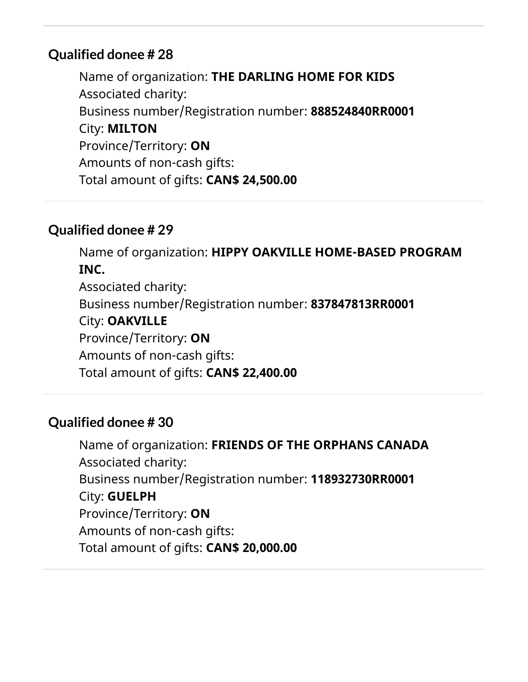Name of organization: **THE DARLING HOME FOR KIDS** Associated charity: Business number/Registration number: **888524840RR0001** City: **MILTON** Province/Territory: **ON** Amounts of non-cash gifts: Total amount of gifts: **CAN\$ 24,500.00**

## **Qualified donee # 29**

Name of organization: **HIPPY OAKVILLE HOME-BASED PROGRAM INC.** Associated charity: Business number/Registration number: **837847813RR0001** City: **OAKVILLE** Province/Territory: **ON** Amounts of non-cash gifts: Total amount of gifts: **CAN\$ 22,400.00**

## **Qualified donee # 30**

Name of organization: **FRIENDS OF THE ORPHANS CANADA** Associated charity: Business number/Registration number: **118932730RR0001** City: **GUELPH** Province/Territory: **ON** Amounts of non-cash gifts: Total amount of gifts: **CAN\$ 20,000.00**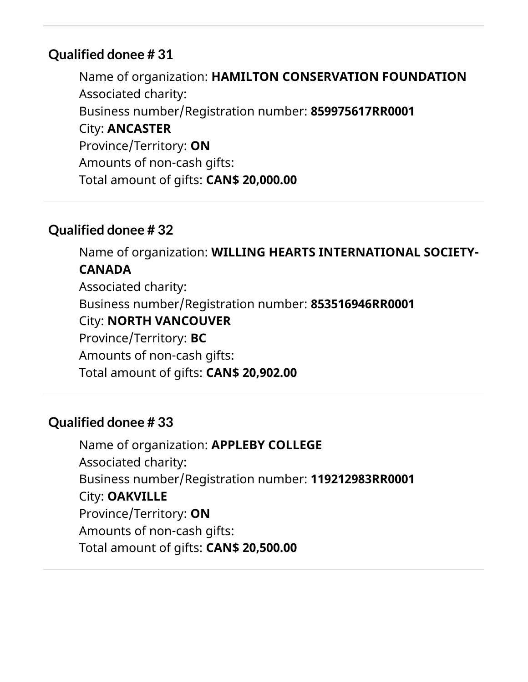Name of organization: **HAMILTON CONSERVATION FOUNDATION** Associated charity: Business number/Registration number: **859975617RR0001** City: **ANCASTER** Province/Territory: **ON** Amounts of non-cash gifts: Total amount of gifts: **CAN\$ 20,000.00**

## **Qualified donee # 32**

Name of organization: **WILLING HEARTS INTERNATIONAL SOCIETY-CANADA** Associated charity: Business number/Registration number: **853516946RR0001** City: **NORTH VANCOUVER** Province/Territory: **BC** Amounts of non-cash gifts: Total amount of gifts: **CAN\$ 20,902.00**

#### **Qualified donee # 33**

Name of organization: **APPLEBY COLLEGE** Associated charity: Business number/Registration number: **119212983RR0001** City: **OAKVILLE** Province/Territory: **ON** Amounts of non-cash gifts: Total amount of gifts: **CAN\$ 20,500.00**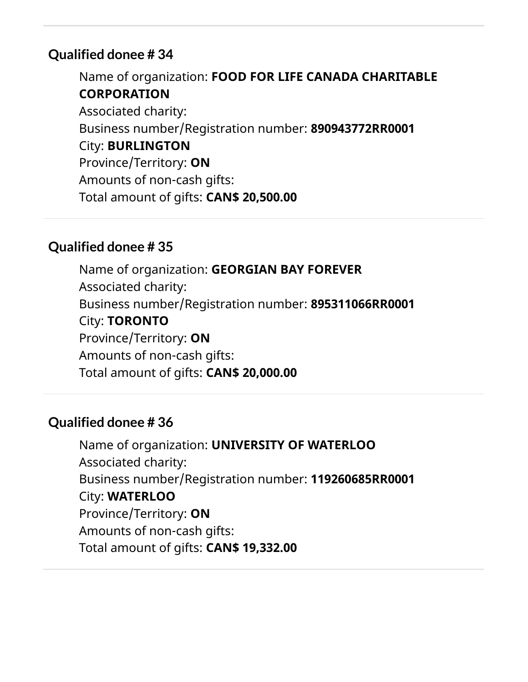Name of organization: **FOOD FOR LIFE CANADA CHARITABLE CORPORATION** Associated charity: Business number/Registration number: **890943772RR0001** City: **BURLINGTON** Province/Territory: **ON** Amounts of non-cash gifts: Total amount of gifts: **CAN\$ 20,500.00**

#### **Qualified donee # 35**

Name of organization: **GEORGIAN BAY FOREVER** Associated charity: Business number/Registration number: **895311066RR0001** City: **TORONTO** Province/Territory: **ON** Amounts of non-cash gifts: Total amount of gifts: **CAN\$ 20,000.00**

## **Qualified donee # 36**

Name of organization: **UNIVERSITY OF WATERLOO** Associated charity: Business number/Registration number: **119260685RR0001** City: **WATERLOO** Province/Territory: **ON** Amounts of non-cash gifts: Total amount of gifts: **CAN\$ 19,332.00**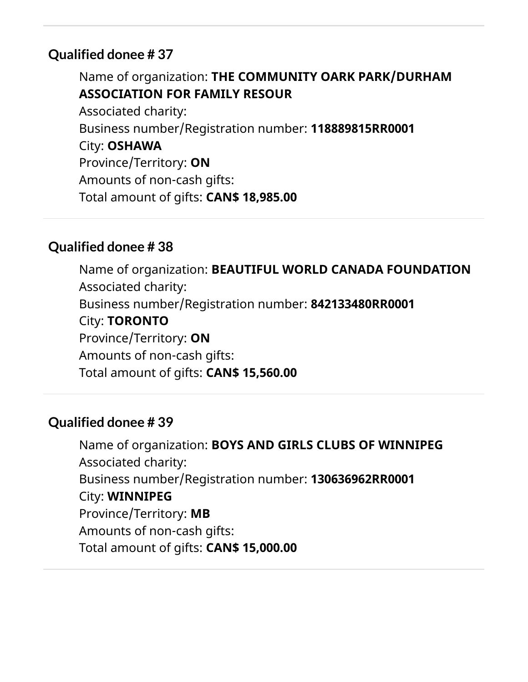Name of organization: **THE COMMUNITY OARK PARK/DURHAM ASSOCIATION FOR FAMILY RESOUR**

Associated charity: Business number/Registration number: **118889815RR0001** City: **OSHAWA** Province/Territory: **ON** Amounts of non-cash gifts: Total amount of gifts: **CAN\$ 18,985.00**

## **Qualified donee # 38**

Name of organization: **BEAUTIFUL WORLD CANADA FOUNDATION** Associated charity: Business number/Registration number: **842133480RR0001** City: **TORONTO** Province/Territory: **ON** Amounts of non-cash gifts: Total amount of gifts: **CAN\$ 15,560.00**

## **Qualified donee # 39**

Name of organization: **BOYS AND GIRLS CLUBS OF WINNIPEG** Associated charity: Business number/Registration number: **130636962RR0001** City: **WINNIPEG** Province/Territory: **MB** Amounts of non-cash gifts: Total amount of gifts: **CAN\$ 15,000.00**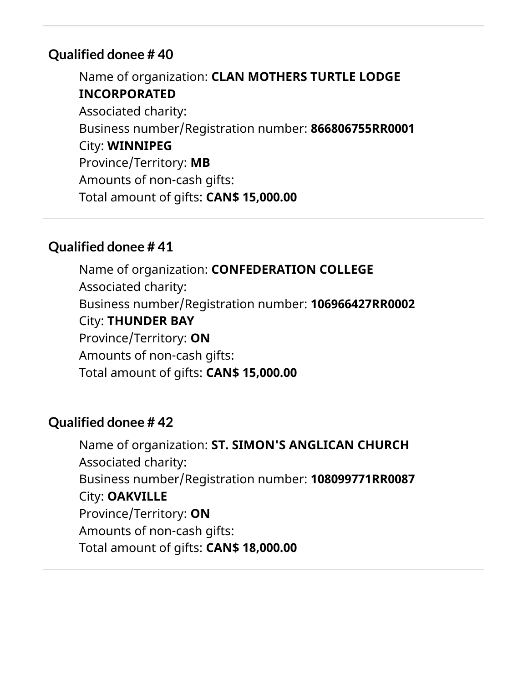Name of organization: **CLAN MOTHERS TURTLE LODGE INCORPORATED** Associated charity: Business number/Registration number: **866806755RR0001** City: **WINNIPEG** Province/Territory: **MB** Amounts of non-cash gifts: Total amount of gifts: **CAN\$ 15,000.00**

#### **Qualified donee # 41**

Name of organization: **CONFEDERATION COLLEGE** Associated charity: Business number/Registration number: **106966427RR0002** City: **THUNDER BAY** Province/Territory: **ON** Amounts of non-cash gifts: Total amount of gifts: **CAN\$ 15,000.00**

## **Qualified donee # 42**

Name of organization: **ST. SIMON'S ANGLICAN CHURCH** Associated charity: Business number/Registration number: **108099771RR0087** City: **OAKVILLE** Province/Territory: **ON** Amounts of non-cash gifts: Total amount of gifts: **CAN\$ 18,000.00**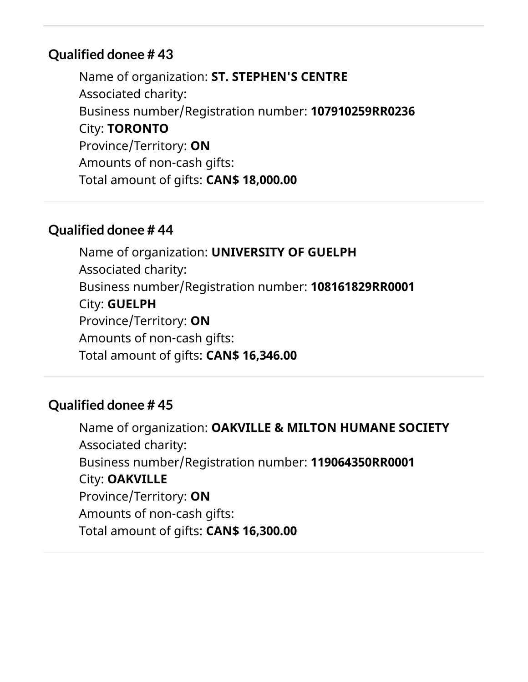Name of organization: **ST. STEPHEN'S CENTRE** Associated charity: Business number/Registration number: **107910259RR0236** City: **TORONTO** Province/Territory: **ON** Amounts of non-cash gifts: Total amount of gifts: **CAN\$ 18,000.00**

#### **Qualified donee # 44**

Name of organization: **UNIVERSITY OF GUELPH** Associated charity: Business number/Registration number: **108161829RR0001** City: **GUELPH** Province/Territory: **ON** Amounts of non-cash gifts: Total amount of gifts: **CAN\$ 16,346.00**

#### **Qualified donee # 45**

Name of organization: **OAKVILLE & MILTON HUMANE SOCIETY** Associated charity: Business number/Registration number: **119064350RR0001** City: **OAKVILLE** Province/Territory: **ON** Amounts of non-cash gifts: Total amount of gifts: **CAN\$ 16,300.00**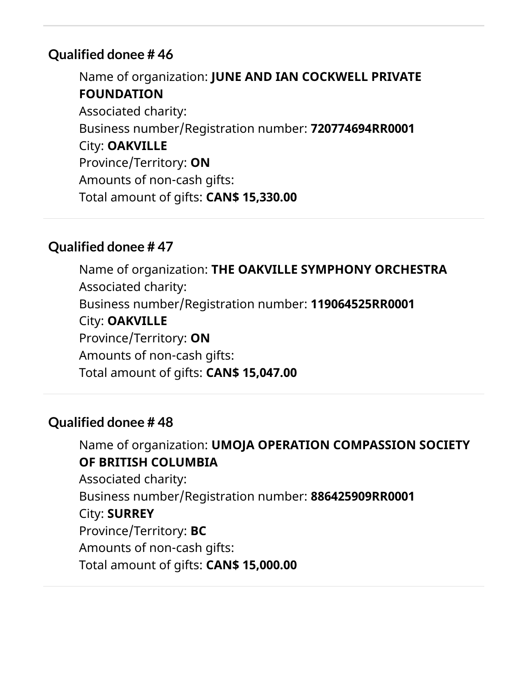Name of organization: **JUNE AND IAN COCKWELL PRIVATE FOUNDATION** Associated charity: Business number/Registration number: **720774694RR0001** City: **OAKVILLE** Province/Territory: **ON** Amounts of non-cash gifts: Total amount of gifts: **CAN\$ 15,330.00**

#### **Qualified donee # 47**

Name of organization: **THE OAKVILLE SYMPHONY ORCHESTRA** Associated charity: Business number/Registration number: **119064525RR0001** City: **OAKVILLE** Province/Territory: **ON** Amounts of non-cash gifts: Total amount of gifts: **CAN\$ 15,047.00**

## **Qualified donee # 48**

Name of organization: **UMOJA OPERATION COMPASSION SOCIETY OF BRITISH COLUMBIA** Associated charity: Business number/Registration number: **886425909RR0001** City: **SURREY** Province/Territory: **BC** Amounts of non-cash gifts: Total amount of gifts: **CAN\$ 15,000.00**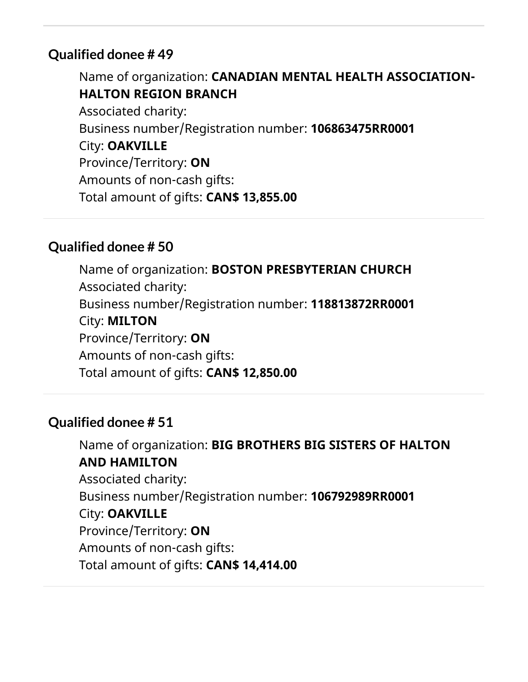Name of organization: **CANADIAN MENTAL HEALTH ASSOCIATION-HALTON REGION BRANCH** Associated charity: Business number/Registration number: **106863475RR0001** City: **OAKVILLE** Province/Territory: **ON** Amounts of non-cash gifts: Total amount of gifts: **CAN\$ 13,855.00**

## **Qualified donee # 50**

Name of organization: **BOSTON PRESBYTERIAN CHURCH** Associated charity: Business number/Registration number: **118813872RR0001** City: **MILTON** Province/Territory: **ON** Amounts of non-cash gifts: Total amount of gifts: **CAN\$ 12,850.00**

## **Qualified donee # 51**

Name of organization: **BIG BROTHERS BIG SISTERS OF HALTON AND HAMILTON** Associated charity: Business number/Registration number: **106792989RR0001** City: **OAKVILLE** Province/Territory: **ON** Amounts of non-cash gifts: Total amount of gifts: **CAN\$ 14,414.00**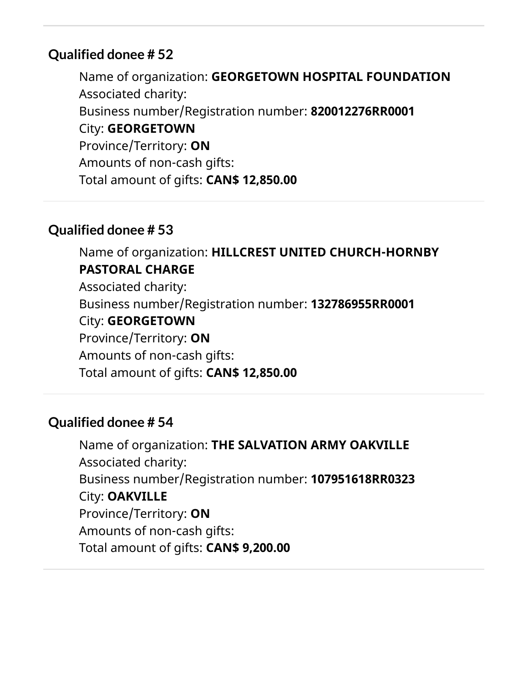Name of organization: **GEORGETOWN HOSPITAL FOUNDATION** Associated charity: Business number/Registration number: **820012276RR0001** City: **GEORGETOWN** Province/Territory: **ON** Amounts of non-cash gifts: Total amount of gifts: **CAN\$ 12,850.00**

## **Qualified donee # 53**

Name of organization: **HILLCREST UNITED CHURCH-HORNBY PASTORAL CHARGE** Associated charity: Business number/Registration number: **132786955RR0001** City: **GEORGETOWN** Province/Territory: **ON** Amounts of non-cash gifts: Total amount of gifts: **CAN\$ 12,850.00**

## **Qualified donee # 54**

Name of organization: **THE SALVATION ARMY OAKVILLE** Associated charity: Business number/Registration number: **107951618RR0323** City: **OAKVILLE** Province/Territory: **ON** Amounts of non-cash gifts: Total amount of gifts: **CAN\$ 9,200.00**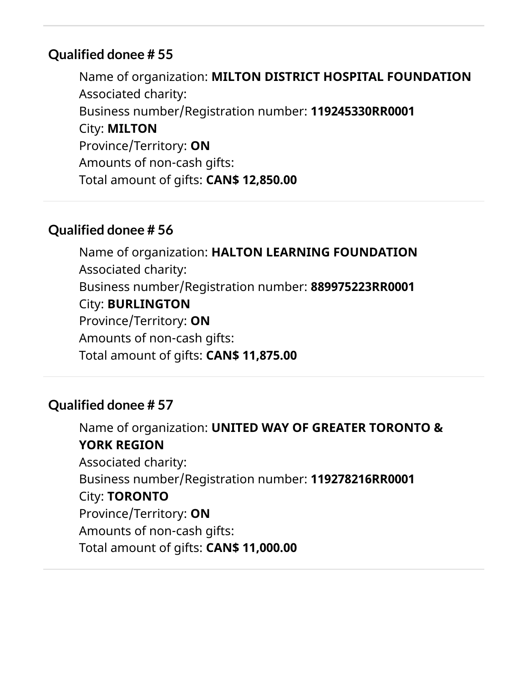Name of organization: **MILTON DISTRICT HOSPITAL FOUNDATION** Associated charity: Business number/Registration number: **119245330RR0001** City: **MILTON** Province/Territory: **ON** Amounts of non-cash gifts: Total amount of gifts: **CAN\$ 12,850.00**

## **Qualified donee # 56**

Name of organization: **HALTON LEARNING FOUNDATION** Associated charity: Business number/Registration number: **889975223RR0001** City: **BURLINGTON** Province/Territory: **ON** Amounts of non-cash gifts: Total amount of gifts: **CAN\$ 11,875.00**

## **Qualified donee # 57**

Name of organization: **UNITED WAY OF GREATER TORONTO & YORK REGION** Associated charity: Business number/Registration number: **119278216RR0001** City: **TORONTO** Province/Territory: **ON** Amounts of non-cash gifts: Total amount of gifts: **CAN\$ 11,000.00**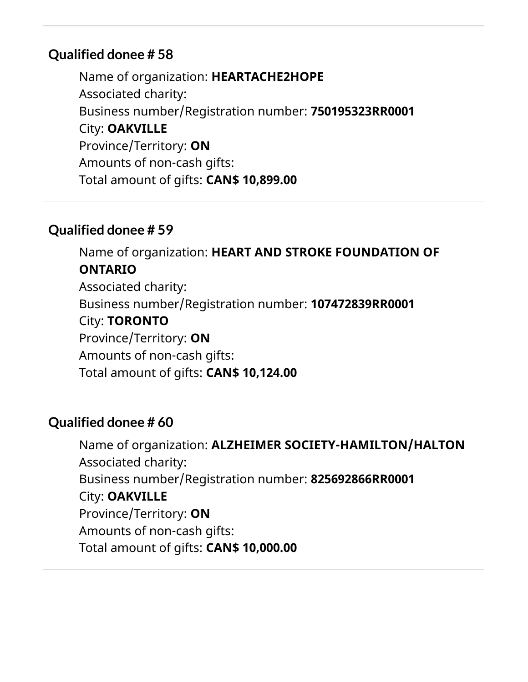Name of organization: **HEARTACHE2HOPE** Associated charity: Business number/Registration number: **750195323RR0001** City: **OAKVILLE** Province/Territory: **ON** Amounts of non-cash gifts: Total amount of gifts: **CAN\$ 10,899.00**

## **Qualified donee # 59**

Name of organization: **HEART AND STROKE FOUNDATION OF ONTARIO** Associated charity: Business number/Registration number: **107472839RR0001** City: **TORONTO** Province/Territory: **ON** Amounts of non-cash gifts: Total amount of gifts: **CAN\$ 10,124.00**

## **Qualified donee # 60**

Name of organization: **ALZHEIMER SOCIETY-HAMILTON/HALTON** Associated charity: Business number/Registration number: **825692866RR0001** City: **OAKVILLE** Province/Territory: **ON** Amounts of non-cash gifts: Total amount of gifts: **CAN\$ 10,000.00**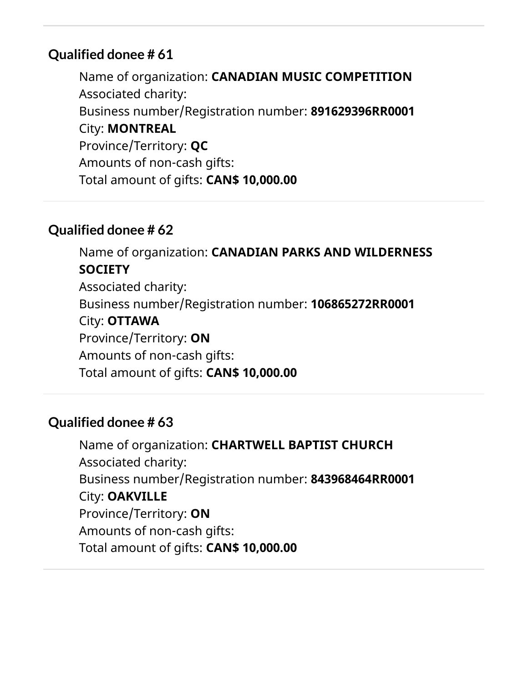Name of organization: **CANADIAN MUSIC COMPETITION** Associated charity: Business number/Registration number: **891629396RR0001** City: **MONTREAL** Province/Territory: **QC** Amounts of non-cash gifts: Total amount of gifts: **CAN\$ 10,000.00**

## **Qualified donee # 62**

Name of organization: **CANADIAN PARKS AND WILDERNESS SOCIETY** Associated charity: Business number/Registration number: **106865272RR0001** City: **OTTAWA** Province/Territory: **ON** Amounts of non-cash gifts: Total amount of gifts: **CAN\$ 10,000.00**

## **Qualified donee # 63**

Name of organization: **CHARTWELL BAPTIST CHURCH** Associated charity: Business number/Registration number: **843968464RR0001** City: **OAKVILLE** Province/Territory: **ON** Amounts of non-cash gifts: Total amount of gifts: **CAN\$ 10,000.00**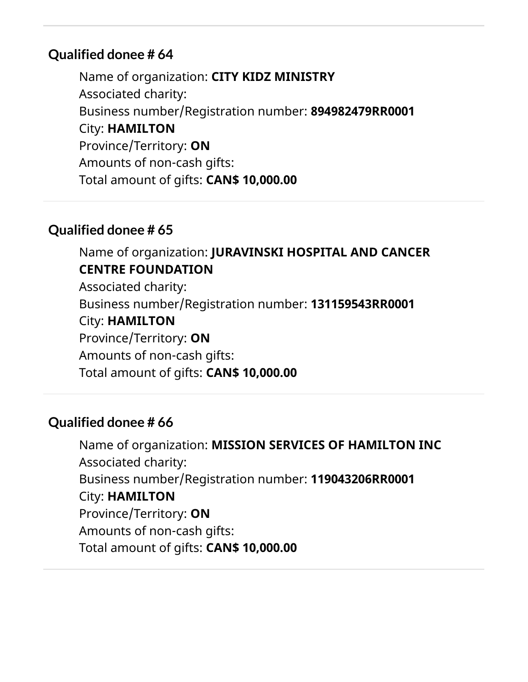Name of organization: **CITY KIDZ MINISTRY** Associated charity: Business number/Registration number: **894982479RR0001** City: **HAMILTON** Province/Territory: **ON** Amounts of non-cash gifts: Total amount of gifts: **CAN\$ 10,000.00**

## **Qualified donee # 65**

Name of organization: **JURAVINSKI HOSPITAL AND CANCER CENTRE FOUNDATION** Associated charity: Business number/Registration number: **131159543RR0001** City: **HAMILTON** Province/Territory: **ON** Amounts of non-cash gifts: Total amount of gifts: **CAN\$ 10,000.00**

## **Qualified donee # 66**

Name of organization: **MISSION SERVICES OF HAMILTON INC** Associated charity: Business number/Registration number: **119043206RR0001** City: **HAMILTON** Province/Territory: **ON** Amounts of non-cash gifts: Total amount of gifts: **CAN\$ 10,000.00**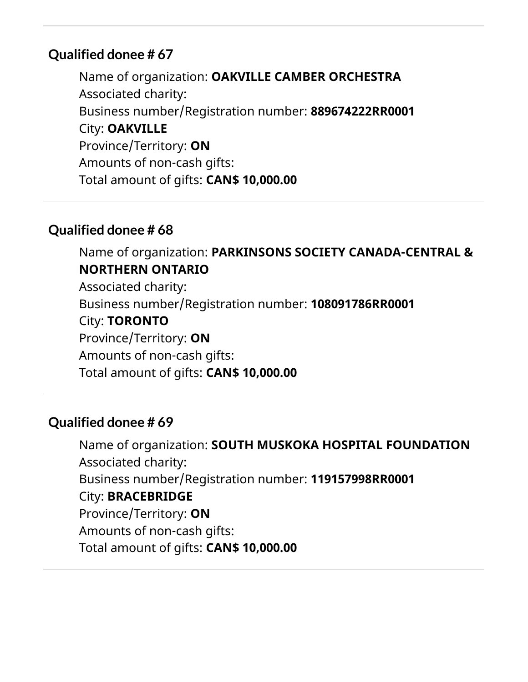Name of organization: **OAKVILLE CAMBER ORCHESTRA** Associated charity: Business number/Registration number: **889674222RR0001** City: **OAKVILLE** Province/Territory: **ON** Amounts of non-cash gifts: Total amount of gifts: **CAN\$ 10,000.00**

## **Qualified donee # 68**

Name of organization: **PARKINSONS SOCIETY CANADA-CENTRAL & NORTHERN ONTARIO** Associated charity: Business number/Registration number: **108091786RR0001** City: **TORONTO** Province/Territory: **ON** Amounts of non-cash gifts: Total amount of gifts: **CAN\$ 10,000.00**

## **Qualified donee # 69**

Name of organization: **SOUTH MUSKOKA HOSPITAL FOUNDATION** Associated charity: Business number/Registration number: **119157998RR0001** City: **BRACEBRIDGE** Province/Territory: **ON** Amounts of non-cash gifts: Total amount of gifts: **CAN\$ 10,000.00**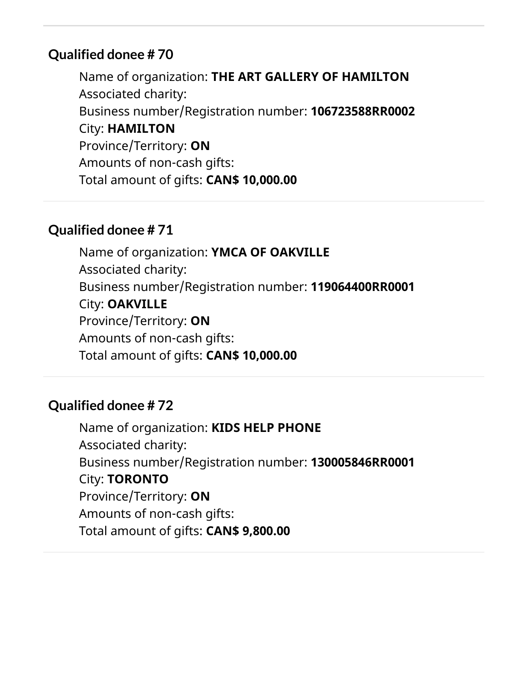Name of organization: **THE ART GALLERY OF HAMILTON** Associated charity: Business number/Registration number: **106723588RR0002** City: **HAMILTON** Province/Territory: **ON** Amounts of non-cash gifts: Total amount of gifts: **CAN\$ 10,000.00**

## **Qualified donee # 71**

Name of organization: **YMCA OF OAKVILLE** Associated charity: Business number/Registration number: **119064400RR0001** City: **OAKVILLE** Province/Territory: **ON** Amounts of non-cash gifts: Total amount of gifts: **CAN\$ 10,000.00**

## **Qualified donee # 72**

Name of organization: **KIDS HELP PHONE** Associated charity: Business number/Registration number: **130005846RR0001** City: **TORONTO** Province/Territory: **ON** Amounts of non-cash gifts: Total amount of gifts: **CAN\$ 9,800.00**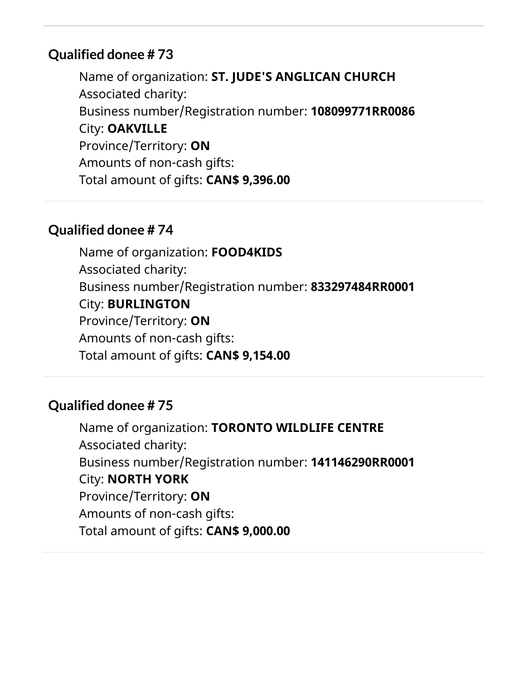Name of organization: **ST. JUDE'S ANGLICAN CHURCH** Associated charity: Business number/Registration number: **108099771RR0086** City: **OAKVILLE** Province/Territory: **ON** Amounts of non-cash gifts: Total amount of gifts: **CAN\$ 9,396.00**

#### **Qualified donee # 74**

Name of organization: **FOOD4KIDS** Associated charity: Business number/Registration number: **833297484RR0001** City: **BURLINGTON** Province/Territory: **ON** Amounts of non-cash gifts: Total amount of gifts: **CAN\$ 9,154.00**

#### **Qualified donee # 75**

Name of organization: **TORONTO WILDLIFE CENTRE** Associated charity: Business number/Registration number: **141146290RR0001** City: **NORTH YORK** Province/Territory: **ON** Amounts of non-cash gifts: Total amount of gifts: **CAN\$ 9,000.00**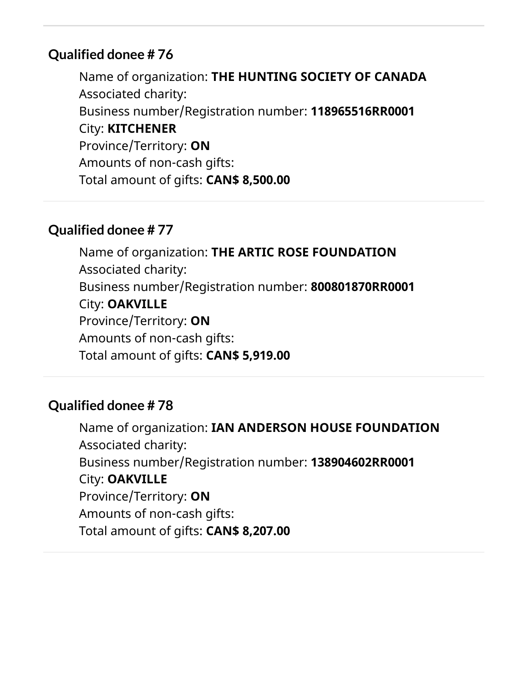Name of organization: **THE HUNTING SOCIETY OF CANADA** Associated charity: Business number/Registration number: **118965516RR0001** City: **KITCHENER** Province/Territory: **ON** Amounts of non-cash gifts: Total amount of gifts: **CAN\$ 8,500.00**

## **Qualified donee # 77**

Name of organization: **THE ARTIC ROSE FOUNDATION** Associated charity: Business number/Registration number: **800801870RR0001** City: **OAKVILLE** Province/Territory: **ON** Amounts of non-cash gifts: Total amount of gifts: **CAN\$ 5,919.00**

## **Qualified donee # 78**

Name of organization: **IAN ANDERSON HOUSE FOUNDATION** Associated charity: Business number/Registration number: **138904602RR0001** City: **OAKVILLE** Province/Territory: **ON** Amounts of non-cash gifts: Total amount of gifts: **CAN\$ 8,207.00**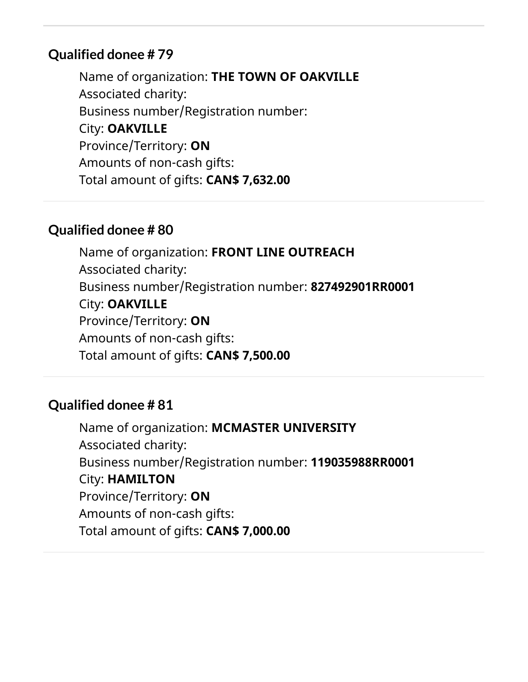Name of organization: **THE TOWN OF OAKVILLE** Associated charity: Business number/Registration number: City: **OAKVILLE** Province/Territory: **ON** Amounts of non-cash gifts: Total amount of gifts: **CAN\$ 7,632.00**

#### **Qualified donee # 80**

Name of organization: **FRONT LINE OUTREACH** Associated charity: Business number/Registration number: **827492901RR0001** City: **OAKVILLE** Province/Territory: **ON** Amounts of non-cash gifts: Total amount of gifts: **CAN\$ 7,500.00**

#### **Qualified donee # 81**

Name of organization: **MCMASTER UNIVERSITY** Associated charity: Business number/Registration number: **119035988RR0001** City: **HAMILTON** Province/Territory: **ON** Amounts of non-cash gifts: Total amount of gifts: **CAN\$ 7,000.00**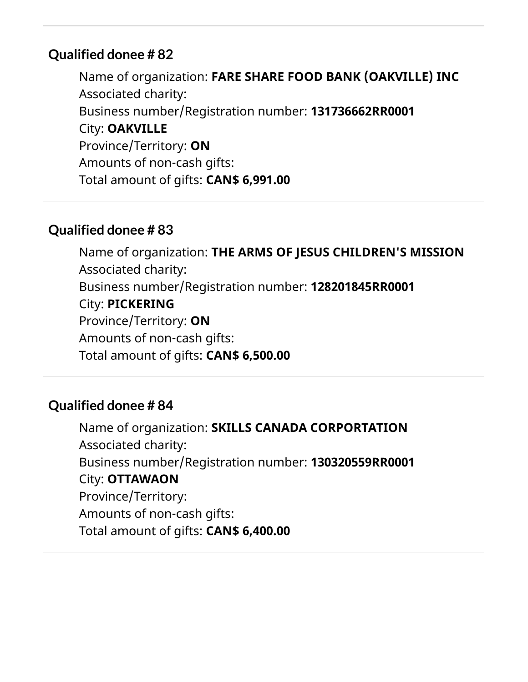Name of organization: **FARE SHARE FOOD BANK (OAKVILLE) INC** Associated charity: Business number/Registration number: **131736662RR0001** City: **OAKVILLE** Province/Territory: **ON** Amounts of non-cash gifts: Total amount of gifts: **CAN\$ 6,991.00**

## **Qualified donee # 83**

Name of organization: **THE ARMS OF JESUS CHILDREN'S MISSION** Associated charity: Business number/Registration number: **128201845RR0001** City: **PICKERING** Province/Territory: **ON** Amounts of non-cash gifts: Total amount of gifts: **CAN\$ 6,500.00**

## **Qualified donee # 84**

Name of organization: **SKILLS CANADA CORPORTATION** Associated charity: Business number/Registration number: **130320559RR0001** City: **OTTAWAON** Province/Territory: Amounts of non-cash gifts: Total amount of gifts: **CAN\$ 6,400.00**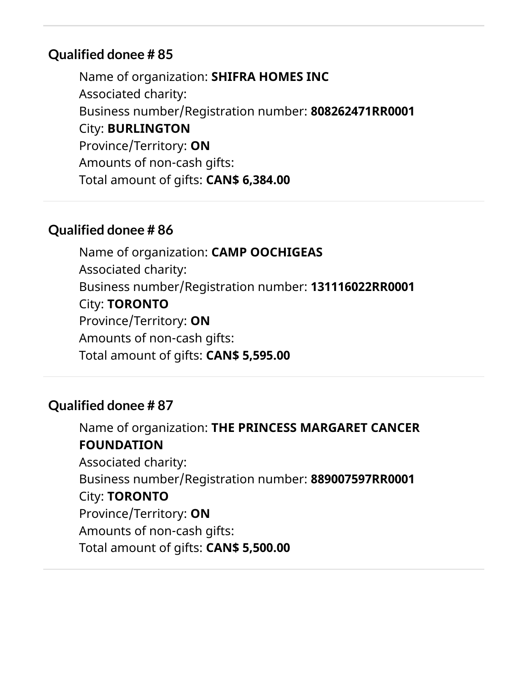Name of organization: **SHIFRA HOMES INC** Associated charity: Business number/Registration number: **808262471RR0001** City: **BURLINGTON** Province/Territory: **ON** Amounts of non-cash gifts: Total amount of gifts: **CAN\$ 6,384.00**

## **Qualified donee # 86**

Name of organization: **CAMP OOCHIGEAS** Associated charity: Business number/Registration number: **131116022RR0001** City: **TORONTO** Province/Territory: **ON** Amounts of non-cash gifts: Total amount of gifts: **CAN\$ 5,595.00**

## **Qualified donee # 87**

Name of organization: **THE PRINCESS MARGARET CANCER FOUNDATION** Associated charity: Business number/Registration number: **889007597RR0001** City: **TORONTO** Province/Territory: **ON** Amounts of non-cash gifts: Total amount of gifts: **CAN\$ 5,500.00**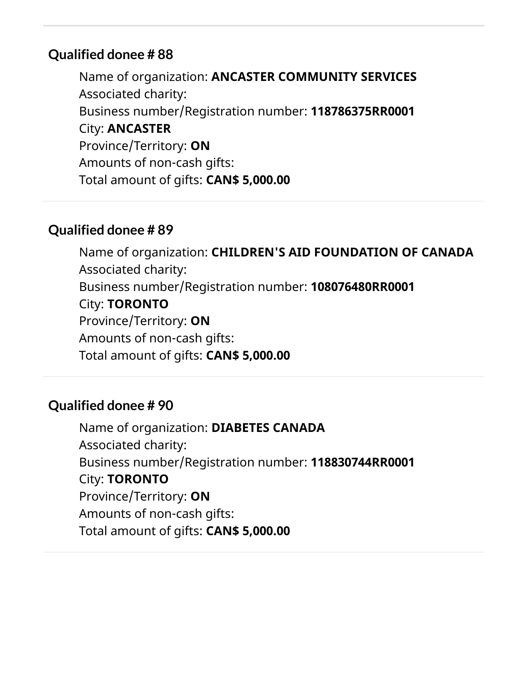Name of organization: **ANCASTER COMMUNITY SERVICES** Associated charity: Business number/Registration number: **118786375RR0001** City: **ANCASTER** Province/Territory: **ON** Amounts of non-cash gifts: Total amount of gifts: **CAN\$ 5,000.00**

## **Qualified donee # 89**

Name of organization: **CHILDREN'S AID FOUNDATION OF CANADA** Associated charity: Business number/Registration number: **108076480RR0001** City: **TORONTO** Province/Territory: **ON** Amounts of non-cash gifts: Total amount of gifts: **CAN\$ 5,000.00**

#### **Qualified donee # 90**

Name of organization: **DIABETES CANADA** Associated charity: Business number/Registration number: **118830744RR0001** City: **TORONTO** Province/Territory: **ON** Amounts of non-cash gifts: Total amount of gifts: **CAN\$ 5,000.00**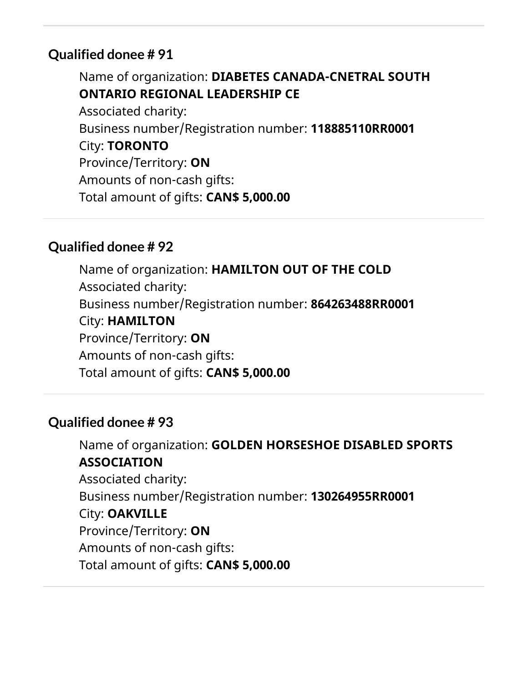Name of organization: **DIABETES CANADA-CNETRAL SOUTH ONTARIO REGIONAL LEADERSHIP CE** Associated charity: Business number/Registration number: **118885110RR0001** City: **TORONTO** Province/Territory: **ON** Amounts of non-cash gifts: Total amount of gifts: **CAN\$ 5,000.00**

## **Qualified donee # 92**

Name of organization: **HAMILTON OUT OF THE COLD** Associated charity: Business number/Registration number: **864263488RR0001** City: **HAMILTON** Province/Territory: **ON** Amounts of non-cash gifts: Total amount of gifts: **CAN\$ 5,000.00**

## **Qualified donee # 93**

Name of organization: **GOLDEN HORSESHOE DISABLED SPORTS ASSOCIATION** Associated charity: Business number/Registration number: **130264955RR0001** City: **OAKVILLE** Province/Territory: **ON** Amounts of non-cash gifts: Total amount of gifts: **CAN\$ 5,000.00**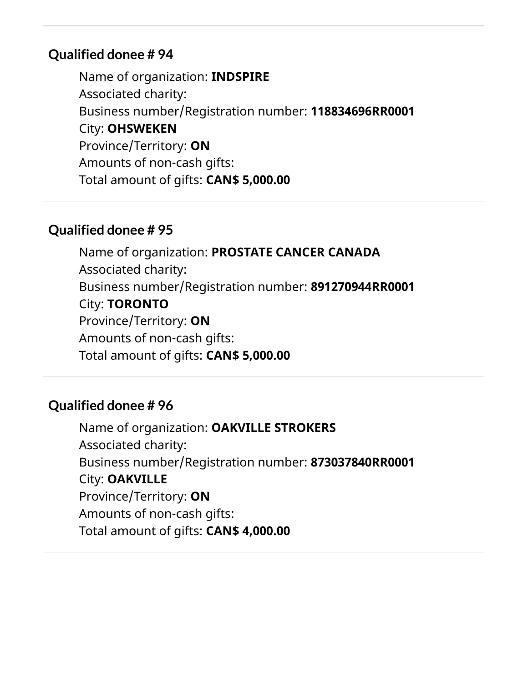Name of organization: **INDSPIRE** Associated charity: Business number/Registration number: **118834696RR0001** City: **OHSWEKEN** Province/Territory: **ON** Amounts of non-cash gifts: Total amount of gifts: **CAN\$ 5,000.00**

#### **Qualified donee # 95**

Name of organization: **PROSTATE CANCER CANADA** Associated charity: Business number/Registration number: **891270944RR0001** City: **TORONTO** Province/Territory: **ON** Amounts of non-cash gifts: Total amount of gifts: **CAN\$ 5,000.00**

#### **Qualified donee # 96**

Name of organization: **OAKVILLE STROKERS** Associated charity: Business number/Registration number: **873037840RR0001** City: **OAKVILLE** Province/Territory: **ON** Amounts of non-cash gifts: Total amount of gifts: **CAN\$ 4,000.00**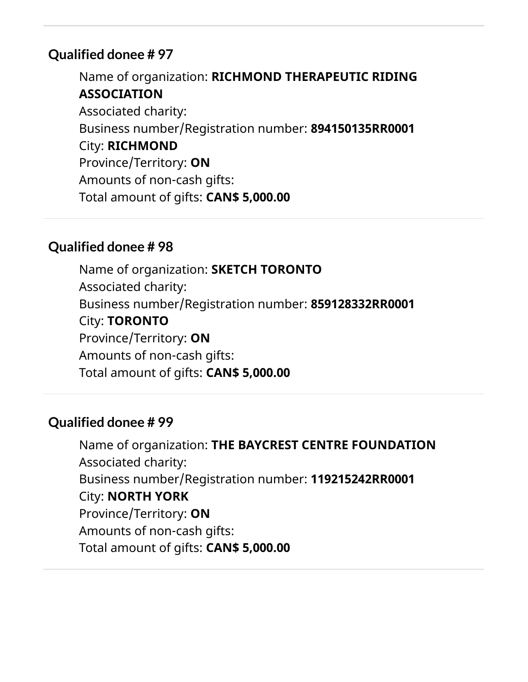Name of organization: **RICHMOND THERAPEUTIC RIDING ASSOCIATION** Associated charity: Business number/Registration number: **894150135RR0001** City: **RICHMOND** Province/Territory: **ON** Amounts of non-cash gifts: Total amount of gifts: **CAN\$ 5,000.00**

#### **Qualified donee # 98**

Name of organization: **SKETCH TORONTO** Associated charity: Business number/Registration number: **859128332RR0001** City: **TORONTO** Province/Territory: **ON** Amounts of non-cash gifts: Total amount of gifts: **CAN\$ 5,000.00**

## **Qualified donee # 99**

Name of organization: **THE BAYCREST CENTRE FOUNDATION** Associated charity: Business number/Registration number: **119215242RR0001** City: **NORTH YORK** Province/Territory: **ON** Amounts of non-cash gifts: Total amount of gifts: **CAN\$ 5,000.00**